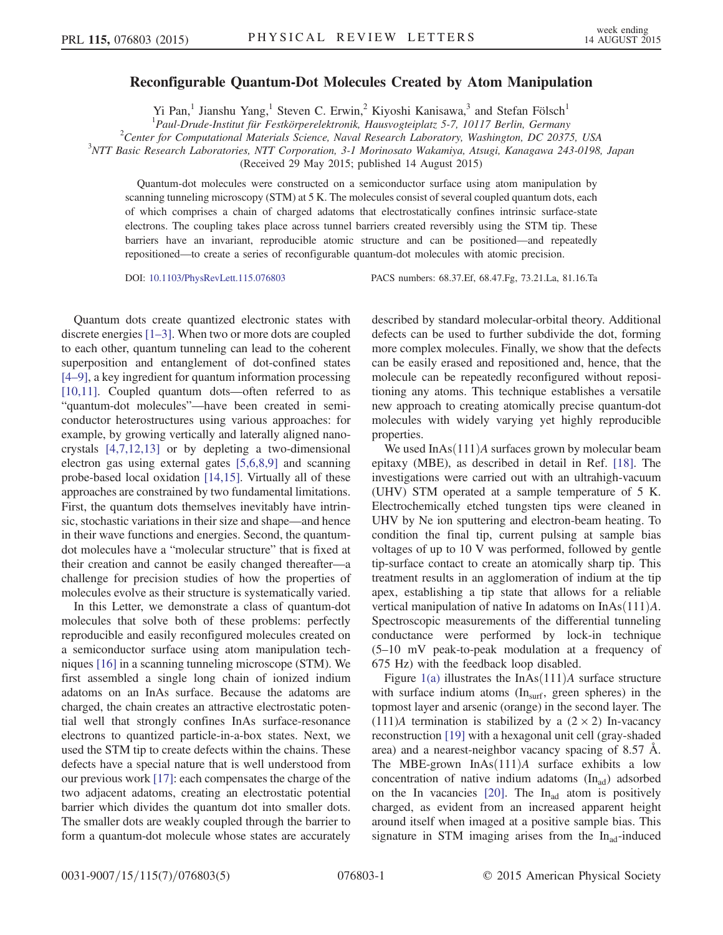## Reconfigurable Quantum-Dot Molecules Created by Atom Manipulation

Yi Pan,<sup>1</sup> Jianshu Yang,<sup>1</sup> Steven C. Erwin,<sup>2</sup> Kiyoshi Kanisawa,<sup>3</sup> and Stefan Fölsch<sup>1</sup>

<sup>1</sup> Paul-Drude-Institut für Festkörperelektronik, Hausvogteiplatz 5-7, 10117 Berlin, Germany<br><sup>2</sup>Center for Computational Materials Science, Naual Bessansk Lebenstern, Washinston, DC 2027

 $^{2}$ Center for Computational Materials Science, Naval Research Laboratory, Washington, DC 20375, USA

<sup>3</sup>NTT Basic Research Laboratories, NTT Corporation, 3-1 Morinosato Wakamiya, Atsugi, Kanagawa 243-0198, Japan

(Received 29 May 2015; published 14 August 2015)

Quantum-dot molecules were constructed on a semiconductor surface using atom manipulation by scanning tunneling microscopy (STM) at 5 K. The molecules consist of several coupled quantum dots, each of which comprises a chain of charged adatoms that electrostatically confines intrinsic surface-state electrons. The coupling takes place across tunnel barriers created reversibly using the STM tip. These barriers have an invariant, reproducible atomic structure and can be positioned—and repeatedly repositioned—to create a series of reconfigurable quantum-dot molecules with atomic precision.

DOI: [10.1103/PhysRevLett.115.076803](http://dx.doi.org/10.1103/PhysRevLett.115.076803) PACS numbers: 68.37.Ef, 68.47.Fg, 73.21.La, 81.16.Ta

Quantum dots create quantized electronic states with discrete energies [\[1](#page-3-0)–3]. When two or more dots are coupled to each other, quantum tunneling can lead to the coherent superposition and entanglement of dot-confined states [\[4](#page-3-1)–9], a key ingredient for quantum information processing [\[10,11\]](#page-4-0). Coupled quantum dots—often referred to as "quantum-dot molecules"—have been created in semiconductor heterostructures using various approaches: for example, by growing vertically and laterally aligned nanocrystals [\[4,7,12,13\]](#page-3-1) or by depleting a two-dimensional electron gas using external gates [\[5,6,8,9\]](#page-3-2) and scanning probe-based local oxidation [\[14,15\]](#page-4-1). Virtually all of these approaches are constrained by two fundamental limitations. First, the quantum dots themselves inevitably have intrinsic, stochastic variations in their size and shape—and hence in their wave functions and energies. Second, the quantumdot molecules have a "molecular structure" that is fixed at their creation and cannot be easily changed thereafter—a challenge for precision studies of how the properties of molecules evolve as their structure is systematically varied.

In this Letter, we demonstrate a class of quantum-dot molecules that solve both of these problems: perfectly reproducible and easily reconfigured molecules created on a semiconductor surface using atom manipulation techniques [\[16\]](#page-4-2) in a scanning tunneling microscope (STM). We first assembled a single long chain of ionized indium adatoms on an InAs surface. Because the adatoms are charged, the chain creates an attractive electrostatic potential well that strongly confines InAs surface-resonance electrons to quantized particle-in-a-box states. Next, we used the STM tip to create defects within the chains. These defects have a special nature that is well understood from our previous work [\[17\]](#page-4-3): each compensates the charge of the two adjacent adatoms, creating an electrostatic potential barrier which divides the quantum dot into smaller dots. The smaller dots are weakly coupled through the barrier to form a quantum-dot molecule whose states are accurately

described by standard molecular-orbital theory. Additional defects can be used to further subdivide the dot, forming more complex molecules. Finally, we show that the defects can be easily erased and repositioned and, hence, that the molecule can be repeatedly reconfigured without repositioning any atoms. This technique establishes a versatile new approach to creating atomically precise quantum-dot molecules with widely varying yet highly reproducible properties.

We used  $InAs(111)A$  surfaces grown by molecular beam epitaxy (MBE), as described in detail in Ref. [\[18\].](#page-4-4) The investigations were carried out with an ultrahigh-vacuum (UHV) STM operated at a sample temperature of 5 K. Electrochemically etched tungsten tips were cleaned in UHV by Ne ion sputtering and electron-beam heating. To condition the final tip, current pulsing at sample bias voltages of up to 10 V was performed, followed by gentle tip-surface contact to create an atomically sharp tip. This treatment results in an agglomeration of indium at the tip apex, establishing a tip state that allows for a reliable vertical manipulation of native In adatoms on  $InAs(111)A$ . Spectroscopic measurements of the differential tunneling conductance were performed by lock-in technique (5–10 mV peak-to-peak modulation at a frequency of 675 Hz) with the feedback loop disabled.

Figure [1\(a\)](#page-1-0) illustrates the InAs $(111)A$  surface structure with surface indium atoms  $(In<sub>surf</sub>, green spheres)$  in the topmost layer and arsenic (orange) in the second layer. The (111)A termination is stabilized by a  $(2 \times 2)$  In-vacancy reconstruction [\[19\]](#page-4-5) with a hexagonal unit cell (gray-shaded area) and a nearest-neighbor vacancy spacing of 8.57 Å. The MBE-grown InAs $(111)A$  surface exhibits a low concentration of native indium adatoms  $(In<sub>ad</sub>)$  adsorbed on the In vacancies [\[20\]](#page-4-6). The  $In<sub>ad</sub>$  atom is positively charged, as evident from an increased apparent height around itself when imaged at a positive sample bias. This signature in STM imaging arises from the  $In<sub>ad</sub>-induced$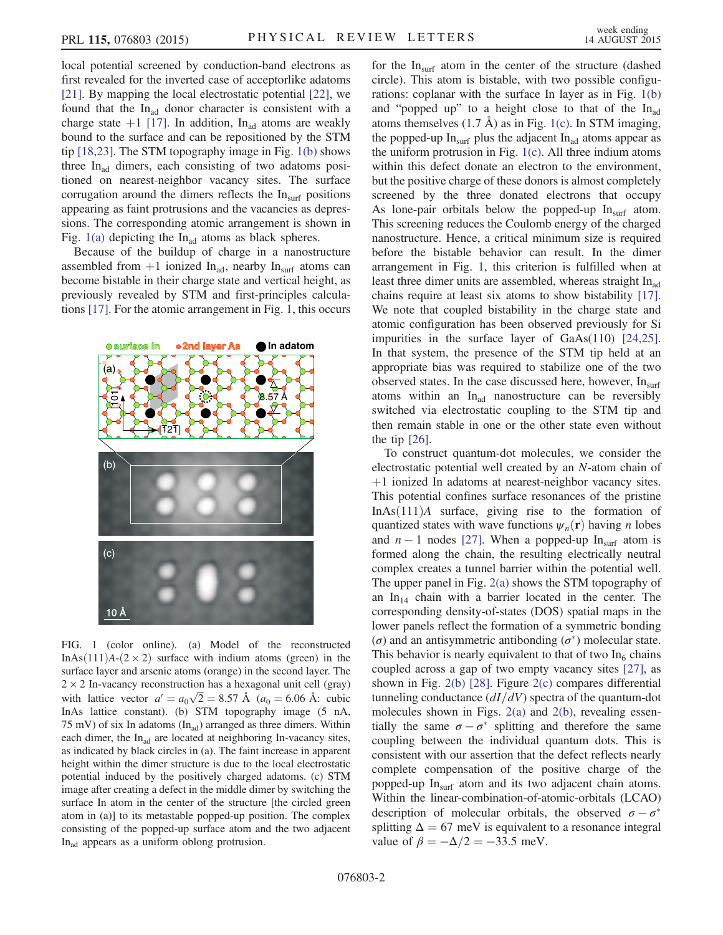local potential screened by conduction-band electrons as first revealed for the inverted case of acceptorlike adatoms [\[21\]](#page-4-7). By mapping the local electrostatic potential [\[22\]](#page-4-8), we found that the  $In_{ad}$  donor character is consistent with a charge state  $+1$  [\[17\]](#page-4-3). In addition, In<sub>ad</sub> atoms are weakly bound to the surface and can be repositioned by the STM tip [\[18,23\].](#page-4-4) The STM topography image in Fig. [1\(b\)](#page-1-0) shows three  $In<sub>ad</sub>$  dimers, each consisting of two adatoms positioned on nearest-neighbor vacancy sites. The surface corrugation around the dimers reflects the  $In<sub>surf</sub>$  positions appearing as faint protrusions and the vacancies as depressions. The corresponding atomic arrangement is shown in Fig.  $1(a)$  depicting the In<sub>ad</sub> atoms as black spheres.

Because of the buildup of charge in a nanostructure assembled from  $+1$  ionized In<sub>ad</sub>, nearby In<sub>surf</sub> atoms can become bistable in their charge state and vertical height, as previously revealed by STM and first-principles calculations [\[17\].](#page-4-3) For the atomic arrangement in Fig. [1,](#page-1-0) this occurs

<span id="page-1-0"></span>

FIG. 1 (color online). (a) Model of the reconstructed InAs $(111)A-(2 \times 2)$  surface with indium atoms (green) in the surface layer and arsenic atoms (orange) in the second layer. The  $2 \times 2$  In-vacancy reconstruction has a hexagonal unit cell (gray) with lattice vector  $a' = a_0\sqrt{2} = 8.57 \text{ Å}$  ( $a_0 = 6.06 \text{ Å}$ : cubic InAs lattice constant). (b) STM topography image (5 nA, 75 mV) of six In adatoms  $(In_{ad})$  arranged as three dimers. Within each dimer, the  $In<sub>ad</sub>$  are located at neighboring In-vacancy sites, as indicated by black circles in (a). The faint increase in apparent height within the dimer structure is due to the local electrostatic potential induced by the positively charged adatoms. (c) STM image after creating a defect in the middle dimer by switching the surface In atom in the center of the structure [the circled green atom in (a)] to its metastable popped-up position. The complex consisting of the popped-up surface atom and the two adjacent In<sub>ad</sub> appears as a uniform oblong protrusion.

for the  $In<sub>surf</sub>$  atom in the center of the structure (dashed circle). This atom is bistable, with two possible configurations: coplanar with the surface In layer as in Fig. [1\(b\)](#page-1-0) and "popped up" to a height close to that of the  $In<sub>ad</sub>$ atoms themselves  $(1.7 \text{ Å})$  as in Fig. [1\(c\)](#page-1-0). In STM imaging, the popped-up  $In<sub>surf</sub>$  plus the adjacent  $In<sub>ad</sub>$  atoms appear as the uniform protrusion in Fig. [1\(c\)](#page-1-0). All three indium atoms within this defect donate an electron to the environment, but the positive charge of these donors is almost completely screened by the three donated electrons that occupy As lone-pair orbitals below the popped-up  $In<sub>surf</sub>$  atom. This screening reduces the Coulomb energy of the charged nanostructure. Hence, a critical minimum size is required before the bistable behavior can result. In the dimer arrangement in Fig. [1](#page-1-0), this criterion is fulfilled when at least three dimer units are assembled, whereas straight  $In<sub>ad</sub>$ chains require at least six atoms to show bistability [\[17\]](#page-4-3). We note that coupled bistability in the charge state and atomic configuration has been observed previously for Si impurities in the surface layer of GaAs(110) [\[24,25\]](#page-4-9). In that system, the presence of the STM tip held at an appropriate bias was required to stabilize one of the two observed states. In the case discussed here, however,  $In<sub>surf</sub>$ atoms within an  $In<sub>ad</sub>$  nanostructure can be reversibly switched via electrostatic coupling to the STM tip and then remain stable in one or the other state even without the tip  $[26]$ .

To construct quantum-dot molecules, we consider the electrostatic potential well created by an N-atom chain of  $+1$  ionized In adatoms at nearest-neighbor vacancy sites. This potential confines surface resonances of the pristine InAs $(111)$ A surface, giving rise to the formation of quantized states with wave functions  $\psi_n(\mathbf{r})$  having *n* lobes and  $n - 1$  nodes [\[27\]](#page-4-11). When a popped-up In<sub>surf</sub> atom is formed along the chain, the resulting electrically neutral complex creates a tunnel barrier within the potential well. The upper panel in Fig. [2\(a\)](#page-2-0) shows the STM topography of an  $In_{14}$  chain with a barrier located in the center. The corresponding density-of-states (DOS) spatial maps in the lower panels reflect the formation of a symmetric bonding ( $σ$ ) and an antisymmetric antibonding ( $σ$ <sup>\*</sup>) molecular state. This behavior is nearly equivalent to that of two  $In<sub>6</sub>$  chains coupled across a gap of two empty vacancy sites [\[27\]](#page-4-11), as shown in Fig. [2\(b\)](#page-2-0) [\[28\].](#page-4-12) Figure [2\(c\)](#page-2-0) compares differential tunneling conductance  $\left(\frac{dI}{dV}\right)$  spectra of the quantum-dot molecules shown in Figs.  $2(a)$  and  $2(b)$ , revealing essentially the same  $\sigma - \sigma^*$  splitting and therefore the same coupling between the individual quantum dots. This is consistent with our assertion that the defect reflects nearly complete compensation of the positive charge of the popped-up Insurf atom and its two adjacent chain atoms. Within the linear-combination-of-atomic-orbitals (LCAO) description of molecular orbitals, the observed  $\sigma - \sigma^*$ splitting  $\Delta = 67$  meV is equivalent to a resonance integral value of  $\beta = -\Delta/2 = -33.5$  meV.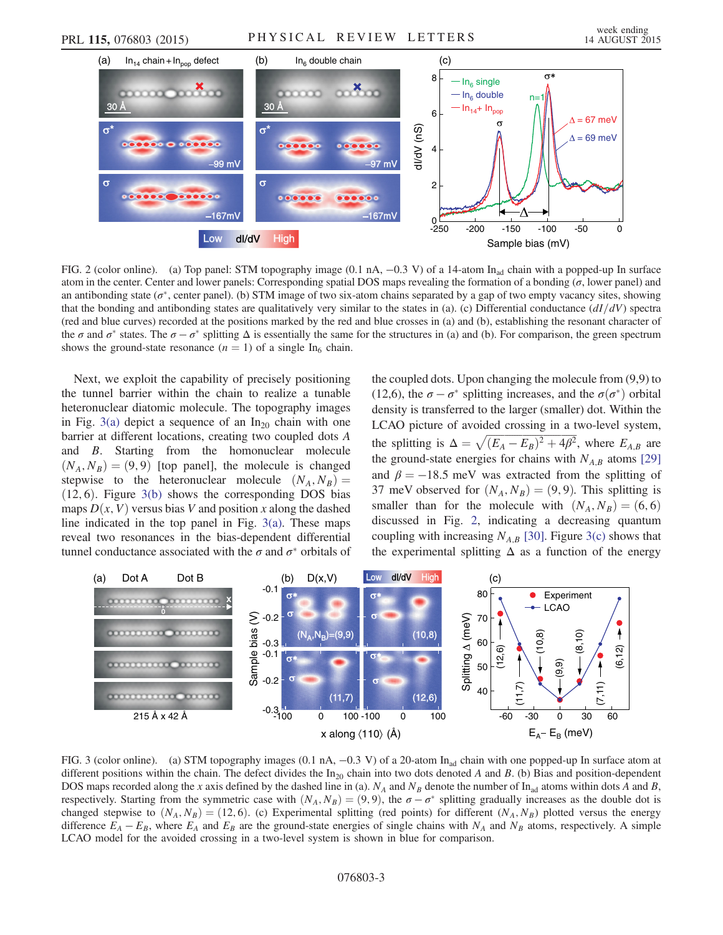<span id="page-2-0"></span>

FIG. 2 (color online). (a) Top panel: STM topography image (0.1 nA,  $-0.3$  V) of a 14-atom In<sub>ad</sub> chain with a popped-up In surface atom in the center. Center and lower panels: Corresponding spatial DOS maps revealing the formation of a bonding  $(\sigma)$ , lower panel) and an antibonding state ( $\sigma^*$ , center panel). (b) STM image of two six-atom chains separated by a gap of two empty vacancy sites, showing that the bonding and antibonding states are qualitatively very similar to the states in (a). (c) Differential conductance  $(dI/dV)$  spectra (red and blue curves) recorded at the positions marked by the red and blue crosses in (a) and (b), establishing the resonant character of the  $\sigma$  and  $\sigma^*$  states. The  $\sigma - \sigma^*$  splitting  $\Delta$  is essentially the same for the structures in (a) and (b). For comparison, the green spectrum shows the ground-state resonance  $(n = 1)$  of a single In<sub>6</sub> chain.

Next, we exploit the capability of precisely positioning the tunnel barrier within the chain to realize a tunable heteronuclear diatomic molecule. The topography images in Fig. [3\(a\)](#page-2-1) depict a sequence of an  $In_{20}$  chain with one barrier at different locations, creating two coupled dots A and B. Starting from the homonuclear molecule  $(N_A, N_B) = (9, 9)$  [top panel], the molecule is changed stepwise to the heteronuclear molecule  $(N_A, N_B)$  =  $(12, 6)$ . Figure [3\(b\)](#page-2-1) shows the corresponding DOS bias maps  $D(x, V)$  versus bias V and position x along the dashed line indicated in the top panel in Fig.  $3(a)$ . These maps reveal two resonances in the bias-dependent differential tunnel conductance associated with the  $\sigma$  and  $\sigma^*$  orbitals of the coupled dots. Upon changing the molecule from (9,9) to (12,6), the  $\sigma - \sigma^*$  splitting increases, and the  $\sigma(\sigma^*)$  orbital density is transferred to the larger (smaller) dot. Within the LCAO picture of avoided crossing in a two-level system, the splitting is  $\Delta = \sqrt{(E_A - E_B)^2 + 4\beta^2}$ , where  $E_{A,B}$  are the ground-state energies for chains with  $N_{A,B}$  atoms [\[29\]](#page-4-13) and  $\beta = -18.5$  meV was extracted from the splitting of 37 meV observed for  $(N_A, N_B) = (9, 9)$ . This splitting is smaller than for the molecule with  $(N_A, N_B) = (6, 6)$ discussed in Fig. [2](#page-2-0), indicating a decreasing quantum coupling with increasing  $N_{A,B}$  [\[30\]](#page-4-14). Figure [3\(c\)](#page-2-1) shows that Experimental splitting is  $\Delta = \sqrt{(E_A - E_B)^2 + 4\rho^2}$ , where experimental splitting of the energy distance of the energy of the energy sites, also a function of a bonding (*σ*, lower panel) and to the states in (a) . (c) Di

<span id="page-2-1"></span>

FIG. 3 (color online). (a) STM topography images (0.1 nA, −0.3 V) of a 20-atom In<sub>ad</sub> chain with one popped-up In surface atom at different positions within the chain. The defect divides the  $In_{20}$  chain into two dots denoted A and B. (b) Bias and position-dependent DOS maps recorded along the x axis defined by the dashed line in (a).  $N_A$  and  $N_B$  denote the number of In<sub>ad</sub> atoms within dots A and B, respectively. Starting from the symmetric case with  $(N_A, N_B) = (9, 9)$ , the  $\sigma - \sigma^*$  splitting gradually increases as the double dot is changed stepwise to  $(N_A, N_B) = (12, 6)$ . (c) Experimental splitting (red points) for different  $(N_A, N_B)$  plotted versus the energy difference  $E_A - E_B$ , where  $E_A$  and  $E_B$  are the ground-state energies of single chains with  $N_A$  and  $N_B$  atoms, respectively. A simple LCAO model for the avoided crossing in a two-level system is shown in blue for comparison.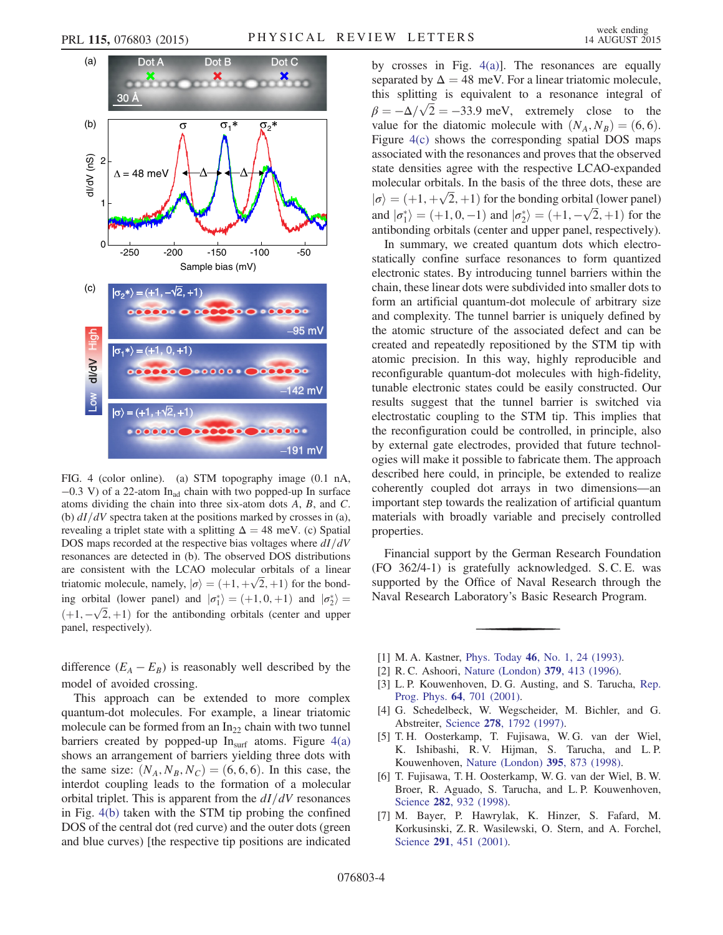<span id="page-3-3"></span>

FIG. 4 (color online). (a) STM topography image (0.1 nA,  $-0.3$  V) of a 22-atom In<sub>ad</sub> chain with two popped-up In surface atoms dividing the chain into three six-atom dots A, B, and C. (b)  $dI/dV$  spectra taken at the positions marked by crosses in (a), revealing a triplet state with a splitting  $\Delta = 48$  meV. (c) Spatial DOS maps recorded at the respective bias voltages where  $dI/dV$ resonances are detected in (b). The observed DOS distributions are consistent with the LCAO molecular orbitals of a linear triatomic molecule, namely,  $|\sigma\rangle = (+1, +\sqrt{2}, +1)$  for the bonding orbital (lower panel) and  $|\sigma_1^*\rangle = (+1, 0, +1)$  and  $|\sigma_2^*\rangle =$  $(+1, -\sqrt{2}, +1)$  for the antibonding orbitals (center and upper panel, respectively).

difference  $(E_A - E_B)$  is reasonably well described by the model of avoided crossing.

This approach can be extended to more complex quantum-dot molecules. For example, a linear triatomic molecule can be formed from an  $In_{22}$  chain with two tunnel barriers created by popped-up  $In<sub>surf</sub>$  atoms. Figure [4\(a\)](#page-3-3) shows an arrangement of barriers yielding three dots with the same size:  $(N_A, N_B, N_C) = (6, 6, 6)$ . In this case, the interdot coupling leads to the formation of a molecular orbital triplet. This is apparent from the  $dI/dV$  resonances in Fig. [4\(b\)](#page-3-3) taken with the STM tip probing the confined DOS of the central dot (red curve) and the outer dots (green and blue curves) [the respective tip positions are indicated by crosses in Fig. [4\(a\)\]](#page-3-3). The resonances are equally separated by  $\Delta = 48$  meV. For a linear triatomic molecule, this splitting is equivalent to a resonance integral of  $\beta = -\Delta/\sqrt{2} = -33.9$  meV, extremely close to the value for the diatomic molecule with  $(N_A, N_B) = (6, 6)$ . Figure [4\(c\)](#page-3-3) shows the corresponding spatial DOS maps associated with the resonances and proves that the observed state densities agree with the respective LCAO-expanded molecular orbitals. In the basis of the three dots, these are  $|\sigma\rangle = (+1, +\sqrt{2}, +1)$  for the bonding orbital (lower panel) and  $|\sigma_1^* \rangle = (+1, 0, -1)$  and  $|\sigma_2^* \rangle = (+1, -\sqrt{2}, +1)$  for the antibonding orbitals (center and upper panel, respectively).

In summary, we created quantum dots which electrostatically confine surface resonances to form quantized electronic states. By introducing tunnel barriers within the chain, these linear dots were subdivided into smaller dots to form an artificial quantum-dot molecule of arbitrary size and complexity. The tunnel barrier is uniquely defined by the atomic structure of the associated defect and can be created and repeatedly repositioned by the STM tip with atomic precision. In this way, highly reproducible and reconfigurable quantum-dot molecules with high-fidelity, tunable electronic states could be easily constructed. Our results suggest that the tunnel barrier is switched via electrostatic coupling to the STM tip. This implies that the reconfiguration could be controlled, in principle, also by external gate electrodes, provided that future technologies will make it possible to fabricate them. The approach described here could, in principle, be extended to realize coherently coupled dot arrays in two dimensions—an important step towards the realization of artificial quantum materials with broadly variable and precisely controlled properties.

Financial support by the German Research Foundation (FO 362/4-1) is gratefully acknowledged. S. C. E. was supported by the Office of Naval Research through the Naval Research Laboratory's Basic Research Program.

- <span id="page-3-0"></span>[1] M. A. Kastner, *Phys. Today* **46**, *No.* 1, 24 (1993).
- [2] R. C. Ashoori, [Nature \(London\)](http://dx.doi.org/10.1038/379413a0) 379, 413 (1996).
- <span id="page-3-1"></span>[3] L. P. Kouwenhoven, D. G. Austing, and S. Tarucha, [Rep.](http://dx.doi.org/10.1088/0034-4885/64/6/201) Prog. Phys. 64[, 701 \(2001\)](http://dx.doi.org/10.1088/0034-4885/64/6/201).
- <span id="page-3-2"></span>[4] G. Schedelbeck, W. Wegscheider, M. Bichler, and G. Abstreiter, Science 278[, 1792 \(1997\).](http://dx.doi.org/10.1126/science.278.5344.1792)
- [5] T. H. Oosterkamp, T. Fujisawa, W. G. van der Wiel, K. Ishibashi, R. V. Hijman, S. Tarucha, and L. P. Kouwenhoven, [Nature \(London\)](http://dx.doi.org/10.1038/27617) 395, 873 (1998).
- [6] T. Fujisawa, T. H. Oosterkamp, W. G. van der Wiel, B. W. Broer, R. Aguado, S. Tarucha, and L. P. Kouwenhoven, Science 282[, 932 \(1998\)](http://dx.doi.org/10.1126/science.282.5390.932).
- [7] M. Bayer, P. Hawrylak, K. Hinzer, S. Fafard, M. Korkusinski, Z. R. Wasilewski, O. Stern, and A. Forchel, Science **291**[, 451 \(2001\)](http://dx.doi.org/10.1126/science.291.5503.451).